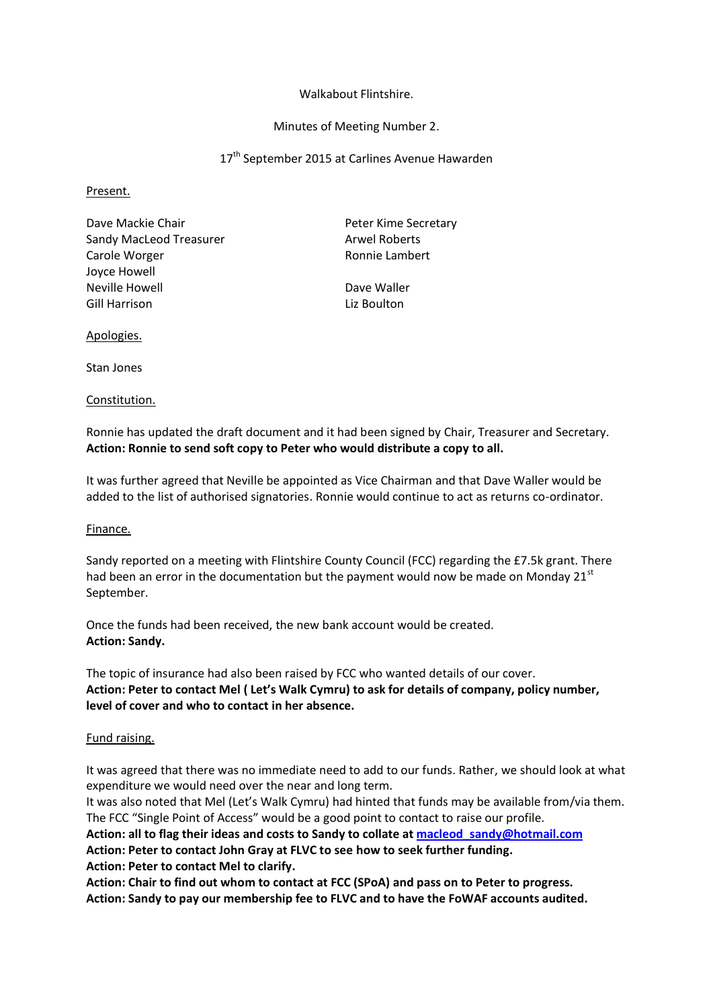### Walkabout Flintshire.

## Minutes of Meeting Number 2.

#### 17<sup>th</sup> September 2015 at Carlines Avenue Hawarden

#### Present.

| Dave Mackie Chair       |  |
|-------------------------|--|
| Sandy MacLeod Treasurer |  |
| Carole Worger           |  |
| Joyce Howell            |  |
| Neville Howell          |  |
| Gill Harrison           |  |

Peter Kime Secretary Arwel Roberts Ronnie Lambert

Dave Waller Liz Boulton

## Apologies.

Stan Jones

#### Constitution.

Ronnie has updated the draft document and it had been signed by Chair, Treasurer and Secretary. **Action: Ronnie to send soft copy to Peter who would distribute a copy to all.**

It was further agreed that Neville be appointed as Vice Chairman and that Dave Waller would be added to the list of authorised signatories. Ronnie would continue to act as returns co-ordinator.

## Finance.

Sandy reported on a meeting with Flintshire County Council (FCC) regarding the £7.5k grant. There had been an error in the documentation but the payment would now be made on Monday  $21<sup>st</sup>$ September.

Once the funds had been received, the new bank account would be created. **Action: Sandy.**

The topic of insurance had also been raised by FCC who wanted details of our cover. **Action: Peter to contact Mel ( Let's Walk Cymru) to ask for details of company, policy number, level of cover and who to contact in her absence.**

## Fund raising.

It was agreed that there was no immediate need to add to our funds. Rather, we should look at what expenditure we would need over the near and long term.

It was also noted that Mel (Let's Walk Cymru) had hinted that funds may be available from/via them. The FCC "Single Point of Access" would be a good point to contact to raise our profile.

**Action: all to flag their ideas and costs to Sandy to collate a[t macleod\\_sandy@hotmail.com](mailto:macleod_sandy@hotmail.com) Action: Peter to contact John Gray at FLVC to see how to seek further funding.**

**Action: Peter to contact Mel to clarify.**

**Action: Chair to find out whom to contact at FCC (SPoA) and pass on to Peter to progress. Action: Sandy to pay our membership fee to FLVC and to have the FoWAF accounts audited.**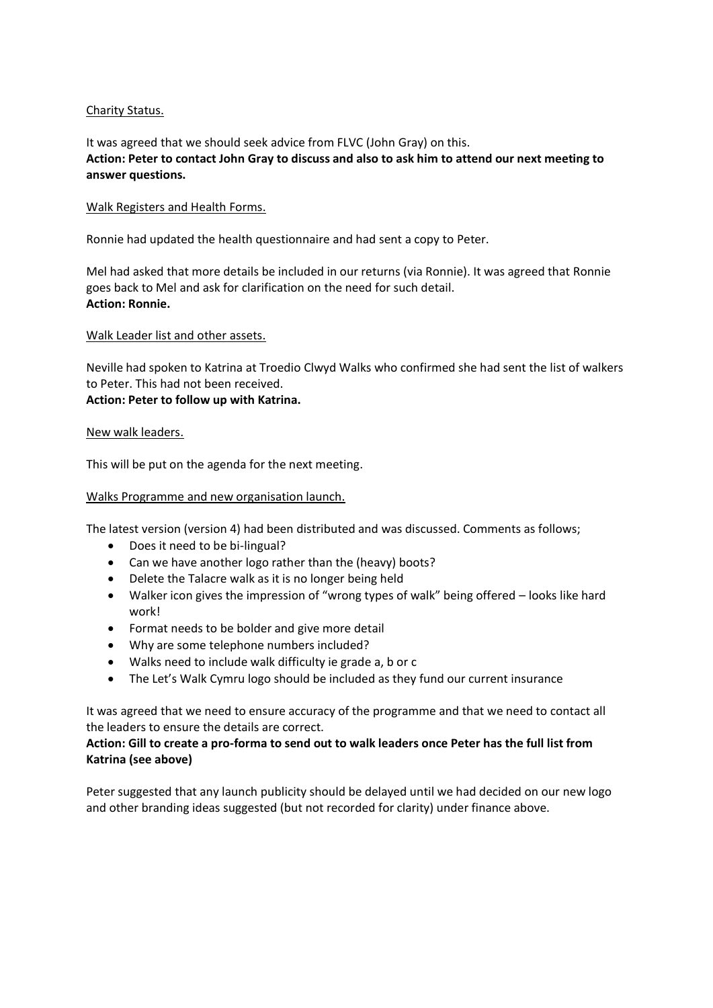# Charity Status.

It was agreed that we should seek advice from FLVC (John Gray) on this. **Action: Peter to contact John Gray to discuss and also to ask him to attend our next meeting to answer questions.**

# Walk Registers and Health Forms.

Ronnie had updated the health questionnaire and had sent a copy to Peter.

Mel had asked that more details be included in our returns (via Ronnie). It was agreed that Ronnie goes back to Mel and ask for clarification on the need for such detail. **Action: Ronnie.**

## Walk Leader list and other assets.

Neville had spoken to Katrina at Troedio Clwyd Walks who confirmed she had sent the list of walkers to Peter. This had not been received.

# **Action: Peter to follow up with Katrina.**

## New walk leaders.

This will be put on the agenda for the next meeting.

## Walks Programme and new organisation launch.

The latest version (version 4) had been distributed and was discussed. Comments as follows;

- Does it need to be bi-lingual?
- Can we have another logo rather than the (heavy) boots?
- Delete the Talacre walk as it is no longer being held
- Walker icon gives the impression of "wrong types of walk" being offered looks like hard work!
- Format needs to be bolder and give more detail
- Why are some telephone numbers included?
- Walks need to include walk difficulty ie grade a, b or c
- The Let's Walk Cymru logo should be included as they fund our current insurance

It was agreed that we need to ensure accuracy of the programme and that we need to contact all the leaders to ensure the details are correct.

# **Action: Gill to create a pro-forma to send out to walk leaders once Peter has the full list from Katrina (see above)**

Peter suggested that any launch publicity should be delayed until we had decided on our new logo and other branding ideas suggested (but not recorded for clarity) under finance above.